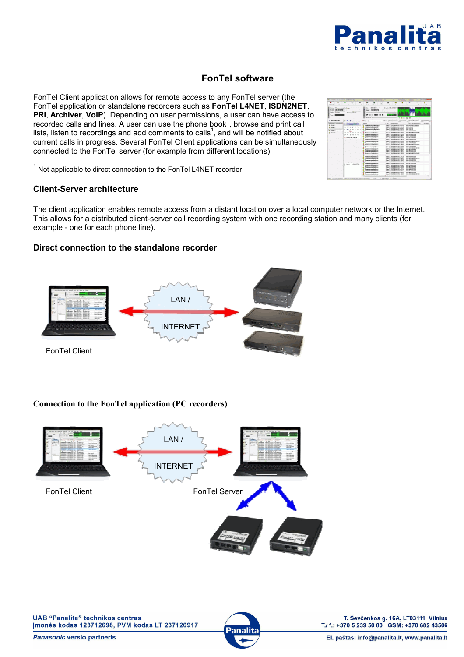

# **FonTel software**

FonTel Client application allows for remote access to any FonTel server (the FonTel application or standalone recorders such as **FonTel L4NET**, **ISDN2NET**, **PRI**, **Archiver**, **VoIP**). Depending on user permissions, a user can have access to recorded calls and lines. A user can use the phone book<sup>1</sup>, browse and print call lists, listen to recordings and add comments to calls<sup>1</sup>, and will be notified about current calls in progress. Several FonTel Client applications can be simultaneously connected to the FonTel server (for example from different locations).

| <b>Barrows and Constitution of Constitution</b>         |                                                                 |                                                          |                                                             |
|---------------------------------------------------------|-----------------------------------------------------------------|----------------------------------------------------------|-------------------------------------------------------------|
|                                                         |                                                                 | <b>Section Co.</b><br><b>Contract Contract</b>           |                                                             |
|                                                         |                                                                 |                                                          |                                                             |
| <b>HERMAN</b><br><b>CONTRACTOR</b><br><b>CONTRACTOR</b> | produced package in products                                    | <b>CONTRACTOR</b><br><b>CONTRACTOR</b>                   | <b>CONTRACTOR</b><br><b>CONTRACTOR</b><br><b>CONTRACTOR</b> |
|                                                         |                                                                 |                                                          |                                                             |
| <b>Links</b><br><b>COLLECTIVE</b>                       | <b>BRACK RD</b><br>m.                                           | <b>Days Margaret</b>                                     |                                                             |
|                                                         | No. SERVICE                                                     |                                                          |                                                             |
| <b>Being One On</b><br><b>International</b>             |                                                                 |                                                          |                                                             |
|                                                         |                                                                 |                                                          |                                                             |
| County of                                               |                                                                 |                                                          |                                                             |
|                                                         |                                                                 |                                                          |                                                             |
| <b>C. Montheries</b>                                    |                                                                 | PLY-Hermites "Friend "Head cars"                         |                                                             |
| <b>The</b>                                              |                                                                 |                                                          |                                                             |
| $-0.01$                                                 | <b>HINKS</b>                                                    | <b>DR. LINGUARY</b>                                      | <b>DEL MUSICIPATE</b><br><b>PERMIT</b>                      |
| <b>B</b> ENGIN                                          | <b>Engine contribution</b>                                      | Louis 1980 English St. 20 to                             | <b>SEA ON UNIVERSITY</b>                                    |
| <b>SET SPECIA</b>                                       | <b>Construct contractions</b>                                   | provided a series to all the                             | <b>CENTRAL</b>                                              |
| <b>Business</b>                                         | <b>Senate contribution</b>                                      | <b>Louis 1980 Brook Street to</b>                        | <b>DOM WHO CAR</b><br><b>CAR AND COMMONS</b>                |
|                                                         | <b><i>Distances and address</i></b><br><b>Detects in Advise</b> | hours in the figure in the co-<br>Louis Jan Book Ford by | <b>CONTRACTOR</b>                                           |
| <b>Comment</b>                                          | <b>Service admitsure</b>                                        | Louis 1983 Engl Ford Av                                  | and his program                                             |
|                                                         | <b>HUSSAIN SCREENERS</b>                                        | <b>SELF ARE \$1000 \$1.00 \$1</b>                        | <b><i>SERRE E KONSTER</i></b>                               |
| Colombian (40)                                          | <b>Detected and Address</b>                                     | Law 1, 1983 Street Street or                             | <b>COLOR CONTROL</b>                                        |
|                                                         | <b>HARLAS ROMANIA</b>                                           | <b>ABLE ARE \$100 F.K.</b>                               | <b><i>MARK CORPORA</i></b>                                  |
|                                                         | <b>MARGIN HORAINA</b>                                           | <b>Louis Unit Store Inc.</b>                             | <b>STATE OF AUTOMOTIVE</b>                                  |
|                                                         | and a factory                                                   |                                                          | <b>STATE OF GROOM</b>                                       |
|                                                         | <b>Humans Institute</b>                                         | <b>SEC 2 /8-9 8140 5.5</b><br>a control company accounts | <b>WE ON YEAR HOUSE</b><br><b>CONTRACTOR</b>                |
|                                                         | <b>WHERE IS NOT THE OWNER.</b><br><b>Economic Installation</b>  | <b>HELL AT HOTEL</b>                                     | <b>GALLAST HER FILMS</b>                                    |
|                                                         | <b>Detected reflections</b>                                     |                                                          |                                                             |
|                                                         | <b>Common Common Science</b>                                    | <b>Law 1</b><br>≕                                        | <b>HERE IN THE RIVE</b>                                     |
|                                                         | <b>Pursua institute</b>                                         | <b>KALL 5 .- R.D. Block K.A. 00 00</b>                   | <b>WE ON YOUR HOUSE!</b>                                    |
|                                                         |                                                                 | <b>CARD &amp; CARD BOOK COURTS</b>                       | the control of the control of                               |
|                                                         | <b>Engineer and collections</b>                                 | have a residence in a colle-                             | <b>CALL CALL AND REAL</b>                                   |
|                                                         | <b>CONTRACT CONTRACTOR</b>                                      | <b>CARL CORPORATION CONTINUES</b>                        | <b>STATE OF CONTRACTOR</b><br><b>CALL COMPANY</b>           |
|                                                         | <b>Contract Contract Contract</b>                               | Louis 1980 Block For M.M.                                | the project street.                                         |
| <b>CONTRACTOR</b>                                       | <b>Books Institute</b><br><b>Depart relation</b>                | .<br>beach this does that it                             | and the second                                              |
| a catcher committee                                     | <b>Company and continued</b>                                    | <b>SALE ADMINISTRATION</b>                               | <b>CALL AND ARRANGEMENT</b>                                 |
|                                                         | <b>BY BYLIC</b>                                                 |                                                          | <b>SHE ON THE SHEET</b>                                     |
|                                                         | Samuel Andrew                                                   | <b>IN A BRAND DIE ARTS</b>                               | as as longer                                                |
|                                                         |                                                                 |                                                          | <b>Big station</b>                                          |
|                                                         | <b>Contente coloradore</b>                                      |                                                          |                                                             |
|                                                         |                                                                 | a complete and the complete                              | THE COLUMN CONTRACTOR                                       |
|                                                         |                                                                 |                                                          |                                                             |

 $1$  Not applicable to direct connection to the FonTel L4NET recorder.

## **Client-Server architecture**

The client application enables remote access from a distant location over a local computer network or the Internet. This allows for a distributed client-server call recording system with one recording station and many clients (for example - one for each phone line).

# **Direct connection to the standalone recorder**



# **Connection to the FonTel application (PC recorders)**



Panasonic verslo partneris



T. Ševčenkos g. 16A, LT03111 Vilnius<br>T./ f.: +370 5 239 50 80 GSM: +370 682 43506